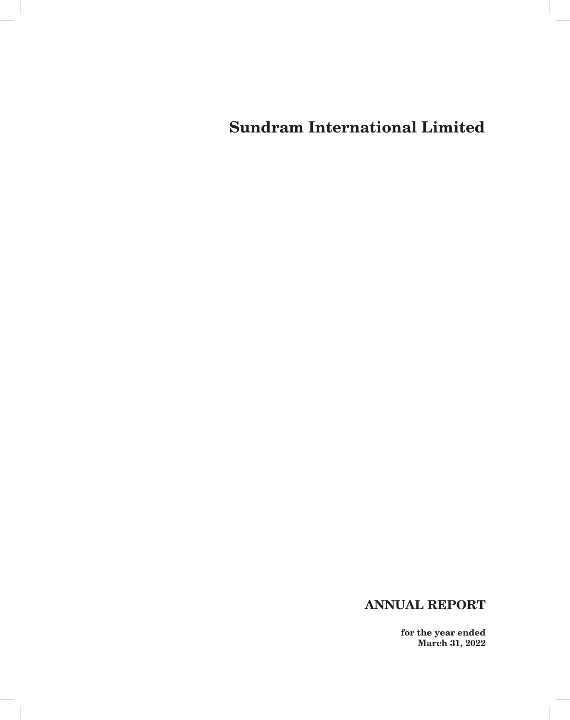# **ANNUAL REPORT**

 $\overline{\phantom{a}}$ 

**for the year ended March 31, 2022**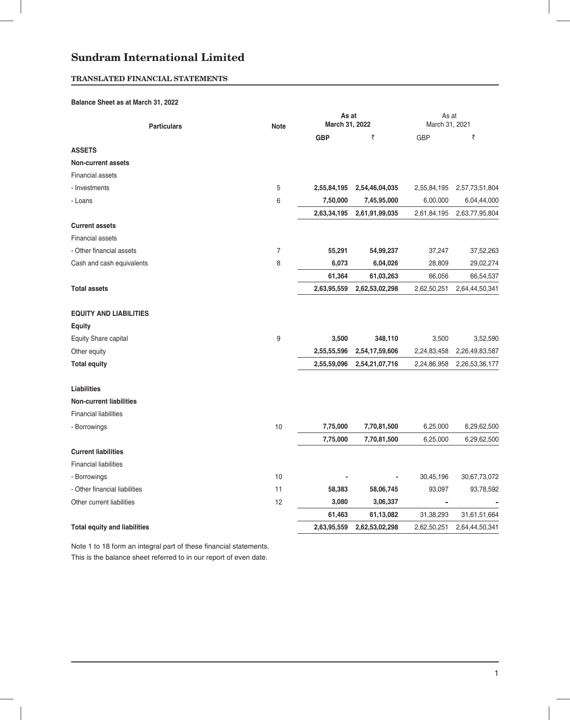# **TRANSLATED FINANCIAL STATEMENTS**

## **Balance Sheet as at March 31, 2022**

| <b>Particulars</b>                  | <b>Note</b> | As at<br>March 31, 2022 |                | As at<br>March 31, 2021 |                |  |
|-------------------------------------|-------------|-------------------------|----------------|-------------------------|----------------|--|
|                                     |             | <b>GBP</b>              | ₹              | <b>GBP</b>              | ₹              |  |
| <b>ASSETS</b>                       |             |                         |                |                         |                |  |
| <b>Non-current assets</b>           |             |                         |                |                         |                |  |
| <b>Financial assets</b>             |             |                         |                |                         |                |  |
| - Investments                       | 5           | 2,55,84,195             | 2,54,46,04,035 | 2,55,84,195             | 2,57,73,51,804 |  |
| - Loans                             | 6           | 7,50,000                | 7,45,95,000    | 6,00,000                | 6,04,44,000    |  |
|                                     |             | 2,63,34,195             | 2,61,91,99,035 | 2,61,84,195             | 2,63,77,95,804 |  |
| <b>Current assets</b>               |             |                         |                |                         |                |  |
| <b>Financial assets</b>             |             |                         |                |                         |                |  |
| - Other financial assets            | 7           | 55,291                  | 54,99,237      | 37,247                  | 37,52,263      |  |
| Cash and cash equivalents           | 8           | 6,073                   | 6,04,026       | 28,809                  | 29,02,274      |  |
|                                     |             | 61,364                  | 61,03,263      | 66,056                  | 66,54,537      |  |
| <b>Total assets</b>                 |             | 2,63,95,559             | 2,62,53,02,298 | 2,62,50,251             | 2,64,44,50,341 |  |
| <b>EQUITY AND LIABILITIES</b>       |             |                         |                |                         |                |  |
| Equity                              |             |                         |                |                         |                |  |
| Equity Share capital                | 9           | 3,500                   | 348,110        | 3,500                   | 3,52,590       |  |
| Other equity                        |             | 2,55,55,596             | 2,54,17,59,606 | 2,24,83,458             | 2,26,49,83,587 |  |
| <b>Total equity</b>                 |             | 2,55,59,096             | 2,54,21,07,716 | 2,24,86,958             | 2,26,53,36,177 |  |
| <b>Liabilities</b>                  |             |                         |                |                         |                |  |
| <b>Non-current liabilities</b>      |             |                         |                |                         |                |  |
| <b>Financial liabilities</b>        |             |                         |                |                         |                |  |
| - Borrowings                        | 10          | 7,75,000                | 7,70,81,500    | 6,25,000                | 6,29,62,500    |  |
|                                     |             | 7,75,000                | 7,70,81,500    | 6,25,000                | 6,29,62,500    |  |
| <b>Current liabilities</b>          |             |                         |                |                         |                |  |
| <b>Financial liabilities</b>        |             |                         |                |                         |                |  |
| - Borrowings                        | 10          |                         |                | 30,45,196               | 30,67,73,072   |  |
| - Other financial liabilities       | 11          | 58,383                  | 58,06,745      | 93,097                  | 93,78,592      |  |
| Other current liabilities           | 12          | 3,080                   | 3,06,337       | -                       |                |  |
|                                     |             | 61,463                  | 61,13,082      | 31,38,293               | 31,61,51,664   |  |
| <b>Total equity and liabilities</b> |             | 2,63,95,559             | 2,62,53,02,298 | 2,62,50,251             | 2,64,44,50,341 |  |

Note 1 to 18 form an integral part of these financial statements. This is the balance sheet referred to in our report of even date.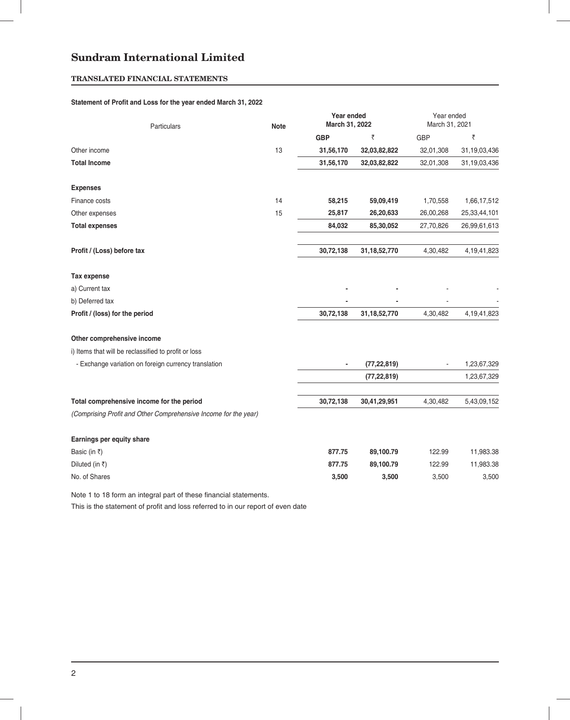# **TRANSLATED FINANCIAL STATEMENTS**

## Statement of Profit and Loss for the year ended March 31, 2022

| Particulars                                                     | <b>Note</b> | Year ended<br>March 31, 2022 |                 | Year ended<br>March 31, 2021 |                |  |
|-----------------------------------------------------------------|-------------|------------------------------|-----------------|------------------------------|----------------|--|
|                                                                 |             | <b>GBP</b>                   | ₹               | <b>GBP</b>                   | ₹              |  |
| Other income                                                    | 13          | 31,56,170                    | 32,03,82,822    | 32,01,308                    | 31,19,03,436   |  |
| <b>Total Income</b>                                             |             | 31,56,170                    | 32,03,82,822    | 32,01,308                    | 31,19,03,436   |  |
| <b>Expenses</b>                                                 |             |                              |                 |                              |                |  |
| Finance costs                                                   | 14          | 58,215                       | 59,09,419       | 1,70,558                     | 1,66,17,512    |  |
| Other expenses                                                  | 15          | 25,817                       | 26,20,633       | 26,00,268                    | 25,33,44,101   |  |
| <b>Total expenses</b>                                           |             | 84,032                       | 85,30,052       | 27,70,826                    | 26,99,61,613   |  |
| Profit / (Loss) before tax                                      |             | 30,72,138                    | 31, 18, 52, 770 | 4,30,482                     | 4, 19, 41, 823 |  |
| Tax expense                                                     |             |                              |                 |                              |                |  |
| a) Current tax                                                  |             |                              |                 |                              |                |  |
| b) Deferred tax                                                 |             |                              |                 |                              |                |  |
| Profit / (loss) for the period                                  |             | 30,72,138                    | 31, 18, 52, 770 | 4,30,482                     | 4, 19, 41, 823 |  |
| Other comprehensive income                                      |             |                              |                 |                              |                |  |
| i) Items that will be reclassified to profit or loss            |             |                              |                 |                              |                |  |
| - Exchange variation on foreign currency translation            |             | $\overline{\phantom{a}}$     | (77, 22, 819)   |                              | 1,23,67,329    |  |
|                                                                 |             |                              | (77, 22, 819)   |                              | 1,23,67,329    |  |
| Total comprehensive income for the period                       |             | 30,72,138                    | 30,41,29,951    | 4,30,482                     | 5,43,09,152    |  |
| (Comprising Profit and Other Comprehensive Income for the year) |             |                              |                 |                              |                |  |
| Earnings per equity share                                       |             |                              |                 |                              |                |  |
| Basic (in ₹)                                                    |             | 877.75                       | 89,100.79       | 122.99                       | 11,983.38      |  |
| Diluted (in ₹)                                                  |             | 877.75                       | 89,100.79       | 122.99                       | 11,983.38      |  |
| No. of Shares                                                   |             | 3,500                        | 3,500           | 3,500                        | 3,500          |  |

Note 1 to 18 form an integral part of these financial statements.

This is the statement of profit and loss referred to in our report of even date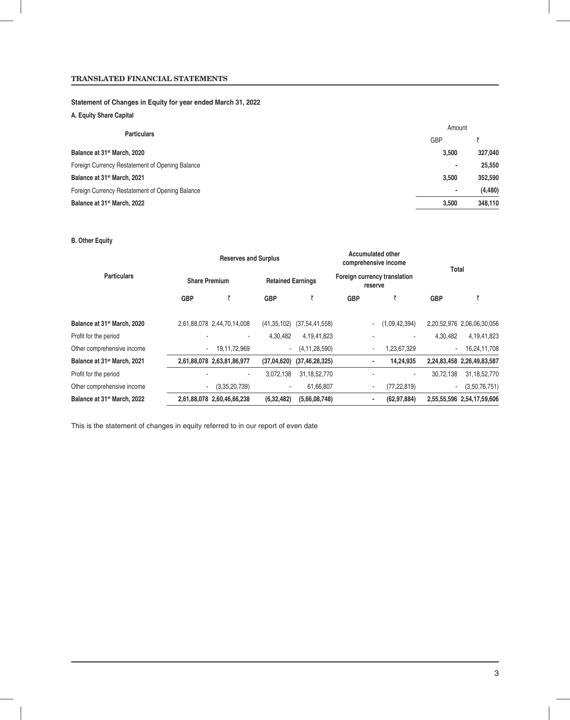# **TRANSLATED FINANCIAL STATEMENTS**

## **Statement of Changes in Equity for year ended March 31, 2022**

# **A. Equity Share Capital**

| <b>Particulars</b>                              | Amount     |          |  |  |
|-------------------------------------------------|------------|----------|--|--|
|                                                 | <b>GBP</b> |          |  |  |
| Balance at 31 <sup>st</sup> March, 2020         | 3.500      | 327,040  |  |  |
| Foreign Currency Restatement of Opening Balance | ۰          | 25,550   |  |  |
| Balance at 31 <sup>st</sup> March, 2021         | 3.500      | 352,590  |  |  |
| Foreign Currency Restatement of Opening Balance | ۰          | (4, 480) |  |  |
| Balance at 31 <sup>st</sup> March, 2022         | 3.500      | 348.110  |  |  |

## **B. Other Equity**

|                                         |                      | <b>Reserves and Surplus</b> |               |                          |            | <b>Accumulated other</b><br>comprehensive income | Total                    |                            |  |  |
|-----------------------------------------|----------------------|-----------------------------|---------------|--------------------------|------------|--------------------------------------------------|--------------------------|----------------------------|--|--|
| <b>Particulars</b>                      | <b>Share Premium</b> |                             |               | <b>Retained Earnings</b> |            | Foreign currency translation<br>reserve          |                          |                            |  |  |
|                                         | <b>GBP</b>           | ₹                           | <b>GBP</b>    | ₹                        | <b>GBP</b> | ₹                                                | <b>GBP</b>               | ₹                          |  |  |
| Balance at 31 <sup>st</sup> March, 2020 |                      | 2,61,88,078 2,44,70,14,008  | (41, 35, 102) | (37, 54, 41, 558)        |            | (1,09,42,394)                                    |                          | 2,20,52,976 2,06,06,30,056 |  |  |
| Profit for the period                   |                      |                             | 4,30,482      | 4,19,41,823              |            |                                                  | 4.30.482                 | 4,19,41,823                |  |  |
| Other comprehensive income              |                      | 19,11,72,969                | $\sim$        | (4, 11, 28, 590)         |            | 1,23,67,329                                      | $\blacksquare$           | 16,24,11,708               |  |  |
| Balance at 31 <sup>st</sup> March, 2021 |                      | 2,61,88,078 2,63,81,86,977  | (37,04,620)   | (37, 46, 28, 325)        |            | 14,24,935<br>٠                                   |                          | 2,24,83,458 2,26,49,83,587 |  |  |
| Profit for the period                   |                      | ٠                           | 3,072,138     | 31, 18, 52, 770          |            | ٠                                                | 30,72,138                | 31, 18, 52, 770            |  |  |
| Other comprehensive income              | ۰.                   | (3,35,20,739)               | $\sim$        | 61,66,807                |            | (77, 22, 819)<br>۰.                              | $\overline{\phantom{a}}$ | (3,50,76,751)              |  |  |
| Balance at 31 <sup>st</sup> March, 2022 |                      | 2,61,88,078 2,60,46,66,238  | (6,32,482)    | (5,66,08,748)            |            | (62, 97, 884)                                    |                          | 2,55,55,596 2,54,17,59,606 |  |  |

This is the statement of changes in equity referred to in our report of even date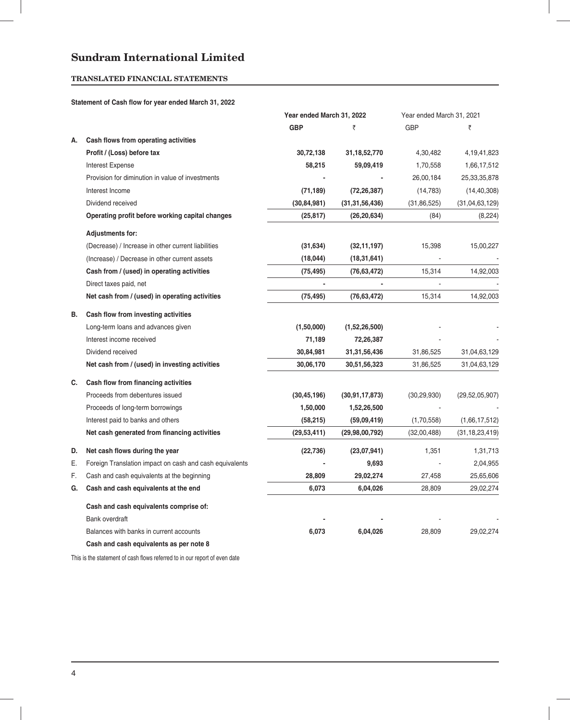# **TRANSLATED FINANCIAL STATEMENTS**

## **Statement of Cash flow for year ended March 31, 2022**

|    |                                                         | Year ended March 31, 2022 |                   | Year ended March 31, 2021 |                   |
|----|---------------------------------------------------------|---------------------------|-------------------|---------------------------|-------------------|
|    |                                                         | <b>GBP</b>                | ₹                 | <b>GBP</b>                | ₹                 |
| А. | Cash flows from operating activities                    |                           |                   |                           |                   |
|    | Profit / (Loss) before tax                              | 30,72,138                 | 31, 18, 52, 770   | 4,30,482                  | 4, 19, 41, 823    |
|    | <b>Interest Expense</b>                                 | 58,215                    | 59,09,419         | 1,70,558                  | 1,66,17,512       |
|    | Provision for diminution in value of investments        |                           |                   | 26,00,184                 | 25,33,35,878      |
|    | Interest Income                                         | (71, 189)                 | (72, 26, 387)     | (14, 783)                 | (14, 40, 308)     |
|    | Dividend received                                       | (30, 84, 981)             | (31, 31, 56, 436) | (31, 86, 525)             | (31, 04, 63, 129) |
|    | Operating profit before working capital changes         | (25, 817)                 | (26, 20, 634)     | (84)                      | (8,224)           |
|    | <b>Adjustments for:</b>                                 |                           |                   |                           |                   |
|    | (Decrease) / Increase in other current liabilities      | (31, 634)                 | (32, 11, 197)     | 15,398                    | 15,00,227         |
|    | (Increase) / Decrease in other current assets           | (18, 044)                 | (18, 31, 641)     |                           |                   |
|    | Cash from / (used) in operating activities              | (75, 495)                 | (76, 63, 472)     | 15,314                    | 14,92,003         |
|    | Direct taxes paid, net                                  | $\blacksquare$            |                   |                           |                   |
|    | Net cash from / (used) in operating activities          | (75, 495)                 | (76, 63, 472)     | 15,314                    | 14,92,003         |
| В. | Cash flow from investing activities                     |                           |                   |                           |                   |
|    | Long-term loans and advances given                      | (1,50,000)                | (1,52,26,500)     |                           |                   |
|    | Interest income received                                | 71,189                    | 72,26,387         |                           |                   |
|    | Dividend received                                       | 30,84,981                 | 31, 31, 56, 436   | 31,86,525                 | 31,04,63,129      |
|    | Net cash from / (used) in investing activities          | 30,06,170                 | 30,51,56,323      | 31,86,525                 | 31,04,63,129      |
| C. | Cash flow from financing activities                     |                           |                   |                           |                   |
|    | Proceeds from debentures issued                         | (30, 45, 196)             | (30, 91, 17, 873) | (30, 29, 930)             | (29, 52, 05, 907) |
|    | Proceeds of long-term borrowings                        | 1,50,000                  | 1,52,26,500       |                           |                   |
|    | Interest paid to banks and others                       | (58, 215)                 | (59,09,419)       | (1,70,558)                | (1,66,17,512)     |
|    | Net cash generated from financing activities            | (29, 53, 411)             | (29, 98, 00, 792) | (32,00,488)               | (31, 18, 23, 419) |
| D. | Net cash flows during the year                          | (22, 736)                 | (23,07,941)       | 1,351                     | 1,31,713          |
| Ε. | Foreign Translation impact on cash and cash equivalents |                           | 9,693             |                           | 2,04,955          |
| F. | Cash and cash equivalents at the beginning              | 28,809                    | 29,02,274         | 27,458                    | 25,65,606         |
| G. | Cash and cash equivalents at the end                    | 6,073                     | 6,04,026          | 28,809                    | 29,02,274         |
|    | Cash and cash equivalents comprise of:                  |                           |                   |                           |                   |
|    | <b>Bank overdraft</b>                                   |                           |                   |                           |                   |
|    | Balances with banks in current accounts                 | 6,073                     | 6,04,026          | 28,809                    | 29,02,274         |
|    | Cash and cash equivalents as per note 8                 |                           |                   |                           |                   |

This is the statement of cash flows referred to in our report of even date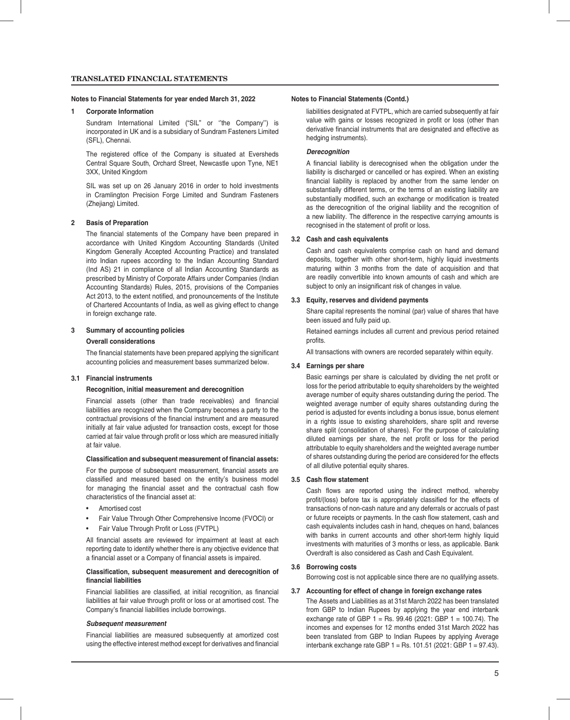#### **Notes to Financial Statements for year ended March 31, 2022 Notes to Financial Statements (Contd.)**

#### **1 Corporate Information**

 Sundram International Limited ("SIL" or ''the Company'') is incorporated in UK and is a subsidiary of Sundram Fasteners Limited (SFL), Chennai.

The registered office of the Company is situated at Eversheds Central Square South, Orchard Street, Newcastle upon Tyne, NE1 3XX, United Kingdom

 SIL was set up on 26 January 2016 in order to hold investments in Cramlington Precision Forge Limited and Sundram Fasteners (Zhejiang) Limited.

#### **2 Basis of Preparation**

The financial statements of the Company have been prepared in accordance with United Kingdom Accounting Standards (United Kingdom Generally Accepted Accounting Practice) and translated into Indian rupees according to the Indian Accounting Standard (Ind AS) 21 in compliance of all Indian Accounting Standards as prescribed by Ministry of Corporate Affairs under Companies (Indian Accounting Standards) Rules, 2015, provisions of the Companies Act 2013, to the extent notified, and pronouncements of the Institute of Chartered Accountants of India, as well as giving effect to change in foreign exchange rate.

#### **3 Summary of accounting policies**

### **Overall considerations**

The financial statements have been prepared applying the significant accounting policies and measurement bases summarized below.

#### **3.1 Financial instruments**

#### **Recognition, initial measurement and derecognition**

Financial assets (other than trade receivables) and financial liabilities are recognized when the Company becomes a party to the contractual provisions of the financial instrument and are measured initially at fair value adjusted for transaction costs, except for those carried at fair value through profit or loss which are measured initially at fair value.

#### **Classification and subsequent measurement of financial assets:**

For the purpose of subsequent measurement, financial assets are classified and measured based on the entity's business model for managing the financial asset and the contractual cash flow characteristics of the financial asset at:

- Amortised cost
- Fair Value Through Other Comprehensive Income (FVOCI) or
- Fair Value Through Profit or Loss (FVTPL)

All financial assets are reviewed for impairment at least at each reporting date to identify whether there is any objective evidence that a financial asset or a Company of financial assets is impaired.

#### **Classifi cation, subsequent measurement and derecognition of fi nancial liabilities**

Financial liabilities are classified, at initial recognition, as financial liabilities at fair value through profit or loss or at amortised cost. The Company's financial liabilities include borrowings.

#### *Subsequent measurement*

 Financial liabilities are measured subsequently at amortized cost using the effective interest method except for derivatives and financial

liabilities designated at FVTPL, which are carried subsequently at fair value with gains or losses recognized in profit or loss (other than derivative financial instruments that are designated and effective as hedging instruments).

#### *Derecognition*

A financial liability is derecognised when the obligation under the liability is discharged or cancelled or has expired. When an existing financial liability is replaced by another from the same lender on substantially different terms, or the terms of an existing liability are substantially modified, such an exchange or modification is treated as the derecognition of the original liability and the recognition of a new liability. The difference in the respective carrying amounts is recognised in the statement of profit or loss.

#### **3.2 Cash and cash equivalents**

 Cash and cash equivalents comprise cash on hand and demand deposits, together with other short-term, highly liquid investments maturing within 3 months from the date of acquisition and that are readily convertible into known amounts of cash and which are subject to only an insignificant risk of changes in value.

#### **3.3 Equity, reserves and dividend payments**

 Share capital represents the nominal (par) value of shares that have been issued and fully paid up.

 Retained earnings includes all current and previous period retained profits.

All transactions with owners are recorded separately within equity.

#### **3.4 Earnings per share**

Basic earnings per share is calculated by dividing the net profit or loss for the period attributable to equity shareholders by the weighted average number of equity shares outstanding during the period. The weighted average number of equity shares outstanding during the period is adjusted for events including a bonus issue, bonus element in a rights issue to existing shareholders, share split and reverse share split (consolidation of shares). For the purpose of calculating diluted earnings per share, the net profit or loss for the period attributable to equity shareholders and the weighted average number of shares outstanding during the period are considered for the effects of all dilutive potential equity shares.

#### **3.5 Cash flow statement**

Cash flows are reported using the indirect method, whereby profit/(loss) before tax is appropriately classified for the effects of transactions of non-cash nature and any deferrals or accruals of past or future receipts or payments. In the cash flow statement, cash and cash equivalents includes cash in hand, cheques on hand, balances with banks in current accounts and other short-term highly liquid investments with maturities of 3 months or less, as applicable. Bank Overdraft is also considered as Cash and Cash Equivalent.

#### **3.6 Borrowing costs**

Borrowing cost is not applicable since there are no qualifying assets.

#### **3.7 Accounting for effect of change in foreign exchange rates**

 The Assets and Liabilities as at 31st March 2022 has been translated from GBP to Indian Rupees by applying the year end interbank exchange rate of GBP 1 = Rs. 99.46 (2021: GBP 1 = 100.74). The incomes and expenses for 12 months ended 31st March 2022 has been translated from GBP to Indian Rupees by applying Average interbank exchange rate GBP 1 = Rs. 101.51 (2021: GBP 1 = 97.43).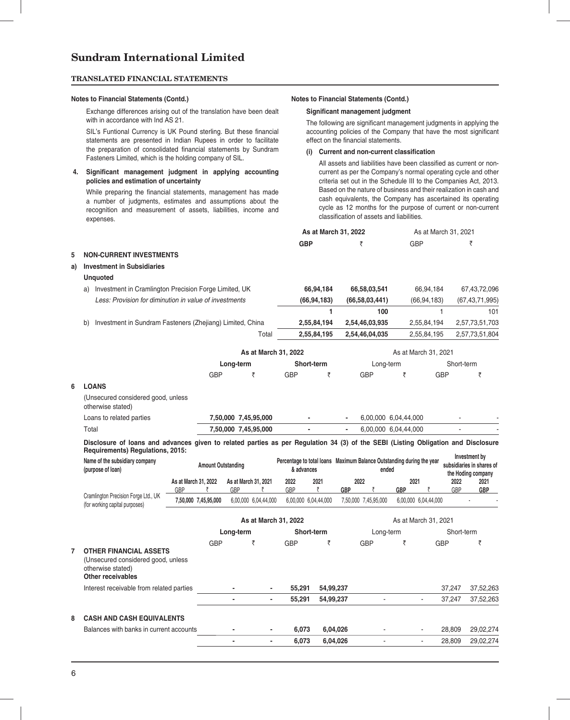#### **TRANSLATED FINANCIAL STATEMENTS**

#### **Notes to Financial Statements (Contd.) Notes to Financial Statements (Contd.)**

Exchange differences arising out of the translation have been dealt with in accordance with Ind AS 21.

SIL's Funtional Currency is UK Pound sterling. But these financial statements are presented in Indian Rupees in order to facilitate the preparation of consolidated financial statements by Sundram Fasteners Limited, which is the holding company of SIL.

#### 4. Significant management judgment in applying accounting **policies and estimation of uncertainty**

While preparing the financial statements, management has made a number of judgments, estimates and assumptions about the recognition and measurement of assets, liabilities, income and expenses.

#### **Significant management judgment**

The following are significant management judgments in applying the accounting policies of the Company that have the most significant effect on the financial statements.

# (i) Current and non-current classification

All assets and liabilities have been classified as current or noncurrent as per the Company's normal operating cycle and other criteria set out in the Schedule III to the Companies Act, 2013. Based on the nature of business and their realization in cash and cash equivalents, the Company has ascertained its operating cycle as 12 months for the purpose of current or non-current classification of assets and liabilities.

|    |                                                                                                                                                                       |                             |                           |                      |                           |                                                                                              | As at March 31, 2022 |            |                      |                      | As at March 31, 2021 |                                            |                    |
|----|-----------------------------------------------------------------------------------------------------------------------------------------------------------------------|-----------------------------|---------------------------|----------------------|---------------------------|----------------------------------------------------------------------------------------------|----------------------|------------|----------------------|----------------------|----------------------|--------------------------------------------|--------------------|
|    |                                                                                                                                                                       |                             |                           |                      |                           | <b>GBP</b>                                                                                   |                      |            | ₹                    | <b>GBP</b>           |                      |                                            | ₹                  |
| 5  | <b>NON-CURRENT INVESTMENTS</b>                                                                                                                                        |                             |                           |                      |                           |                                                                                              |                      |            |                      |                      |                      |                                            |                    |
| a) | <b>Investment in Subsidiaries</b>                                                                                                                                     |                             |                           |                      |                           |                                                                                              |                      |            |                      |                      |                      |                                            |                    |
|    | <b>Unquoted</b>                                                                                                                                                       |                             |                           |                      |                           |                                                                                              |                      |            |                      |                      |                      |                                            |                    |
|    | a) Investment in Cramlington Precision Forge Limited, UK                                                                                                              |                             |                           |                      |                           |                                                                                              | 66,94,184            |            | 66,58,03,541         |                      | 66,94,184            |                                            | 67,43,72,096       |
|    | Less: Provision for diminution in value of investments                                                                                                                |                             |                           |                      |                           |                                                                                              | (66, 94, 183)        |            | (66,58,03,441)       |                      | (66, 94, 183)        |                                            | (67, 43, 71, 995)  |
|    |                                                                                                                                                                       |                             |                           |                      |                           |                                                                                              | 1                    |            | 100                  |                      | 1                    |                                            | 101                |
|    | Investment in Sundram Fasteners (Zhejiang) Limited, China<br>b)                                                                                                       |                             |                           |                      |                           |                                                                                              | 2,55,84,194          |            | 2,54,46,03,935       |                      | 2,55,84,194          |                                            | 2,57,73,51,703     |
|    |                                                                                                                                                                       |                             |                           |                      | Total                     |                                                                                              | 2,55,84,195          |            | 2,54,46,04,035       |                      | 2,55,84,195          |                                            | 2,57,73,51,804     |
|    |                                                                                                                                                                       |                             |                           |                      | As at March 31, 2022      |                                                                                              |                      |            |                      |                      | As at March 31, 2021 |                                            |                    |
|    |                                                                                                                                                                       |                             |                           | Long-term            |                           |                                                                                              | Short-term           |            | Long-term            |                      |                      | Short-term                                 |                    |
|    |                                                                                                                                                                       |                             | <b>GBP</b>                |                      | ₹                         | <b>GBP</b>                                                                                   | ₹                    |            | <b>GBP</b>           | ₹                    | <b>GBP</b>           |                                            | ₹                  |
| 6  | <b>LOANS</b>                                                                                                                                                          |                             |                           |                      |                           |                                                                                              |                      |            |                      |                      |                      |                                            |                    |
|    | (Unsecured considered good, unless<br>otherwise stated)                                                                                                               |                             |                           |                      |                           |                                                                                              |                      |            |                      |                      |                      |                                            |                    |
|    | Loans to related parties                                                                                                                                              |                             |                           | 7,50,000 7,45,95,000 |                           |                                                                                              |                      |            |                      | 6,00,000 6,04,44,000 |                      |                                            |                    |
|    | Total                                                                                                                                                                 |                             |                           | 7,50,000 7,45,95,000 |                           |                                                                                              |                      |            |                      | 6,00,000 6,04,44,000 |                      |                                            |                    |
|    | Disclosure of loans and advances given to related parties as per Regulation 34 (3) of the SEBI (Listing Obligation and Disclosure<br>Requirements) Regulations, 2015: |                             |                           |                      |                           |                                                                                              |                      |            |                      |                      |                      |                                            |                    |
|    | Name of the subsidiary company<br>(purpose of loan)                                                                                                                   |                             | <b>Amount Outstanding</b> |                      |                           | Percentage to total loans Maximum Balance Outstanding during the year<br>& advances<br>ended |                      |            |                      | the Hoding company   |                      | Investment by<br>subsidiaries in shares of |                    |
|    |                                                                                                                                                                       | As at March 31, 2022<br>GBP | ₹                         | GBP                  | As at March 31, 2021<br>₹ | 2022<br>GBP                                                                                  | 2021<br>₹            | <b>GBP</b> | 2022<br>₹            | 2021<br><b>GBP</b>   | ₹                    | 2022<br>GBP                                | 2021<br><b>GBP</b> |
|    | Cramlington Precision Forge Ltd., UK<br>(for working capital purposes)                                                                                                |                             | 7,50,000 7,45,95,000      |                      | 6,00,000 6,04,44,000      |                                                                                              | 6,00,000 6,04,44,000 |            | 7,50,000 7,45,95,000 |                      | 6,00,000 6,04,44,000 |                                            |                    |
|    |                                                                                                                                                                       |                             |                           |                      | As at March 31, 2022      |                                                                                              |                      |            |                      |                      | As at March 31, 2021 |                                            |                    |
|    |                                                                                                                                                                       |                             |                           | Long-term            |                           |                                                                                              | Short-term           |            | Long-term            |                      |                      | Short-term                                 |                    |
|    |                                                                                                                                                                       |                             | GBP                       |                      | ₹                         | GBP                                                                                          | ₹                    |            | GBP                  | ₹                    | <b>GBP</b>           |                                            | ₹                  |
|    | <b>OTHER FINANCIAL ASSETS</b><br>(Unsecured considered good, unless<br>otherwise stated)<br><b>Other receivables</b>                                                  |                             |                           |                      |                           |                                                                                              |                      |            |                      |                      |                      |                                            |                    |
|    | Interest receivable from related parties                                                                                                                              |                             |                           |                      |                           | 55,291                                                                                       | 54,99,237            |            |                      |                      |                      | 37,247                                     | 37,52,263          |
|    |                                                                                                                                                                       |                             |                           |                      | ÷.                        | 55,291                                                                                       | 54,99,237            |            | $\blacksquare$       |                      | $\mathbf{r}$         | 37,247                                     | 37,52,263          |
| 8  | <b>CASH AND CASH EQUIVALENTS</b>                                                                                                                                      |                             |                           |                      |                           |                                                                                              |                      |            |                      |                      |                      |                                            |                    |
|    | Balances with banks in current accounts                                                                                                                               |                             |                           |                      |                           | 6,073                                                                                        |                      | 6,04,026   |                      |                      |                      | 28,809                                     | 29,02,274          |
|    |                                                                                                                                                                       |                             |                           |                      |                           | 6.073                                                                                        |                      | 6,04,026   | $\sim$               |                      |                      | 28,809                                     | 29,02,274          |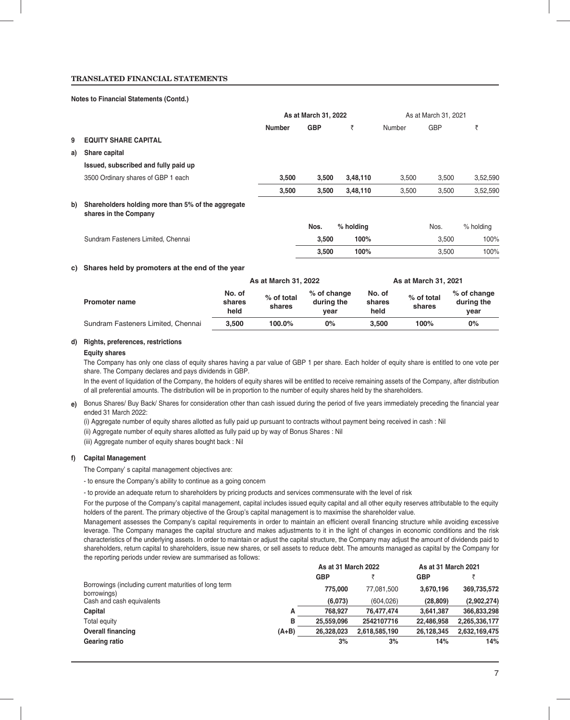## **TRANSLATED FINANCIAL STATEMENTS**

#### **Notes to Financial Statements (Contd.)**

|    |                                                                             | As at March 31, 2022 |            |           | As at March 31, 2021 |            |           |  |
|----|-----------------------------------------------------------------------------|----------------------|------------|-----------|----------------------|------------|-----------|--|
|    |                                                                             | <b>Number</b>        | <b>GBP</b> | ₹         | Number               | <b>GBP</b> | ₹         |  |
| 9  | <b>EQUITY SHARE CAPITAL</b>                                                 |                      |            |           |                      |            |           |  |
| a) | Share capital                                                               |                      |            |           |                      |            |           |  |
|    | Issued, subscribed and fully paid up                                        |                      |            |           |                      |            |           |  |
|    | 3500 Ordinary shares of GBP 1 each                                          | 3,500                | 3,500      | 3,48,110  | 3,500                | 3,500      | 3,52,590  |  |
|    |                                                                             | 3,500                | 3,500      | 3,48,110  | 3,500                | 3,500      | 3,52,590  |  |
| b) | Shareholders holding more than 5% of the aggregate<br>shares in the Company |                      |            |           |                      |            |           |  |
|    |                                                                             |                      | Nos.       | % holding |                      | Nos.       | % holding |  |
|    | Sundram Fasteners Limited, Chennai                                          |                      | 3,500      | 100%      |                      | 3,500      | 100%      |  |
|    |                                                                             |                      | 3,500      | 100%      |                      | 3,500      | 100%      |  |
|    |                                                                             |                      |            |           |                      |            |           |  |

#### **c) Shares held by promoters at the end of the year**

|                                    |                          | As at March 31, 2022 |                                   |                          | As at March 31, 2021 |                                   |  |  |
|------------------------------------|--------------------------|----------------------|-----------------------------------|--------------------------|----------------------|-----------------------------------|--|--|
| <b>Promoter name</b>               | No. of<br>shares<br>held | % of total<br>shares | % of change<br>during the<br>vear | No. of<br>shares<br>held | % of total<br>shares | % of change<br>during the<br>vear |  |  |
| Sundram Fasteners Limited, Chennai | 3.500                    | 100.0%               | 0%                                | 3.500                    | 100%                 | $0\%$                             |  |  |

#### **d) Rights, preferences, restrictions**

#### **Equity shares**

The Company has only one class of equity shares having a par value of GBP 1 per share. Each holder of equity share is entitled to one vote per share. The Company declares and pays dividends in GBP.

In the event of liquidation of the Company, the holders of equity shares will be entitled to receive remaining assets of the Company, after distribution of all preferential amounts. The distribution will be in proportion to the number of equity shares held by the shareholders.

- e) Bonus Shares/ Buy Back/ Shares for consideration other than cash issued during the period of five years immediately preceding the financial year ended 31 March 2022:
	- (i) Aggregate number of equity shares allotted as fully paid up pursuant to contracts without payment being received in cash : Nil

(ii) Aggregate number of equity shares allotted as fully paid up by way of Bonus Shares : Nil

(iii) Aggregate number of equity shares bought back : Nil

#### **f) Capital Management**

The Company' s capital management objectives are:

- to ensure the Company's ability to continue as a going concern

- to provide an adequate return to shareholders by pricing products and services commensurate with the level of risk

For the purpose of the Company's capital management, capital includes issued equity capital and all other equity reserves attributable to the equity holders of the parent. The primary objective of the Group's capital management is to maximise the shareholder value.

Management assesses the Company's capital requirements in order to maintain an efficient overall financing structure while avoiding excessive leverage. The Company manages the capital structure and makes adjustments to it in the light of changes in economic conditions and the risk characteristics of the underlying assets. In order to maintain or adjust the capital structure, the Company may adjust the amount of dividends paid to shareholders, return capital to shareholders, issue new shares, or sell assets to reduce debt. The amounts managed as capital by the Company for the reporting periods under review are summarised as follows:

|                                                                      |         | As at 31 March 2022 |               | As at 31 March 2021 |               |
|----------------------------------------------------------------------|---------|---------------------|---------------|---------------------|---------------|
|                                                                      |         | <b>GBP</b>          |               | <b>GBP</b>          |               |
| Borrowings (including current maturities of long term<br>borrowings) |         | 775,000             | 77.081.500    | 3.670.196           | 369,735,572   |
| Cash and cash equivalents                                            |         | (6,073)             | (604, 026)    | (28, 809)           | (2,902,274)   |
| Capital                                                              | А       | 768.927             | 76.477.474    | 3.641.387           | 366.833.298   |
| Total equity                                                         | в       | 25.559.096          | 2542107716    | 22.486.958          | 2.265.336.177 |
| <b>Overall financing</b>                                             | $(A+B)$ | 26.328.023          | 2,618,585,190 | 26.128.345          | 2,632,169,475 |
| Gearing ratio                                                        |         | 3%                  | 3%            | 14%                 | 14%           |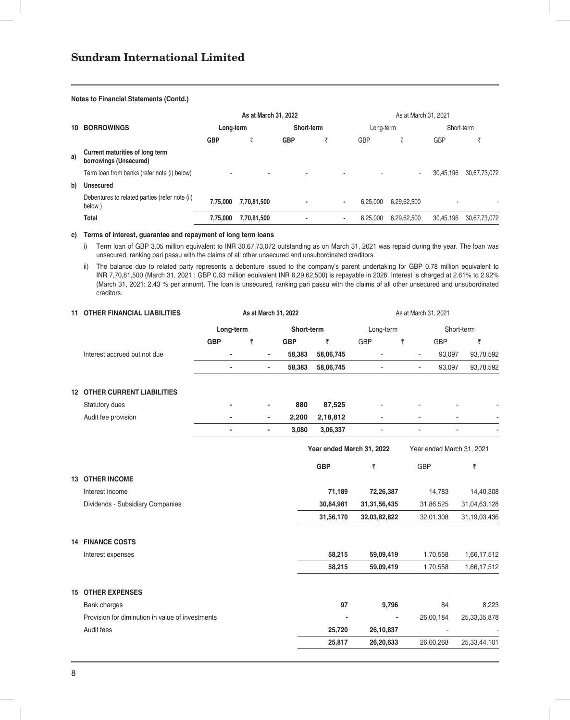## **Notes to Financial Statements (Contd.)**

|    |                                                           |            | As at March 31, 2022 |                          |   |                | As at March 31, 2021 |             |            |              |
|----|-----------------------------------------------------------|------------|----------------------|--------------------------|---|----------------|----------------------|-------------|------------|--------------|
| 10 | <b>BORROWINGS</b>                                         | Long-term  |                      | Short-term               |   |                | Long-term            |             | Short-term |              |
|    |                                                           | <b>GBP</b> | э                    | <b>GBP</b>               | э |                | <b>GBP</b>           |             | GBP        |              |
| a) | Current maturities of long term<br>borrowings (Unsecured) |            |                      |                          |   |                |                      |             |            |              |
|    | Term loan from banks (refer note (i) below)               |            | ۰                    | $\overline{\phantom{a}}$ |   |                |                      | $\sim$      | 30.45.196  | 30,67,73,072 |
| b) | <b>Unsecured</b>                                          |            |                      |                          |   |                |                      |             |            |              |
|    | Debentures to related parties (refer note (ii)<br>below)  | 7,75,000   | 7,70,81,500          |                          |   | $\blacksquare$ | 6.25.000             | 6,29,62,500 |            |              |
|    | Total                                                     | 7.75.000   | 7,70,81,500          |                          |   |                | 6,25,000             | 6,29,62,500 | 30.45.196  | 30,67,73,072 |

#### **c) Terms of interest, guarantee and repayment of long term loans**

 i) Term loan of GBP 3.05 million equivalent to INR 30,67,73,072 outstanding as on March 31, 2021 was repaid during the year. The loan was unsecured, ranking pari passu with the claims of all other unsecured and unsubordinated creditors.

 ii) The balance due to related party represents a debenture issued to the company's parent undertaking for GBP 0.78 million equivalent to INR 7,70,81,500 (March 31, 2021 : GBP 0.63 million equivalent INR 6,29,62,500) is repayable in 2026. Interest is charged at 2.61% to 2.92% (March 31, 2021: 2.43 % per annum). The loan is unsecured, ranking pari passu with the claims of all other unsecured and unsubordinated creditors.

| <b>11 OTHER FINANCIAL LIABILITIES</b>            |                          |   |                          | As at March 31, 2022 |                           | As at March 31, 2021 |                           |                 |  |
|--------------------------------------------------|--------------------------|---|--------------------------|----------------------|---------------------------|----------------------|---------------------------|-----------------|--|
|                                                  | Long-term                |   |                          | Short-term           |                           | Long-term            |                           | Short-term      |  |
|                                                  | <b>GBP</b>               | ₹ |                          | <b>GBP</b>           | ₹                         | <b>GBP</b>           | ₹<br>GBP                  | ₹               |  |
| Interest accrued but not due                     |                          |   | $\overline{\phantom{a}}$ | 58,383               | 58,06,745                 |                      | 93,097                    | 93,78,592       |  |
|                                                  | $\overline{\phantom{a}}$ |   | $\blacksquare$           | 58,383               | 58,06,745                 | $\blacksquare$       | 93,097<br>$\blacksquare$  | 93,78,592       |  |
| <b>12 OTHER CURRENT LIABILITIES</b>              |                          |   |                          |                      |                           |                      |                           |                 |  |
| Statutory dues                                   |                          |   |                          | 880                  | 87,525                    |                      |                           |                 |  |
| Audit fee provision                              |                          |   | $\overline{\phantom{0}}$ | 2,200                | 2,18,812                  |                      |                           |                 |  |
|                                                  | $\overline{\phantom{a}}$ |   | $\overline{\phantom{0}}$ | 3,080                | 3,06,337                  | $\blacksquare$       | $\overline{\phantom{a}}$  | $\blacksquare$  |  |
|                                                  |                          |   |                          |                      | Year ended March 31, 2022 |                      | Year ended March 31, 2021 |                 |  |
|                                                  |                          |   |                          |                      | <b>GBP</b>                | ₹                    | <b>GBP</b>                | ₹               |  |
| <b>13 OTHER INCOME</b>                           |                          |   |                          |                      |                           |                      |                           |                 |  |
| Interest Income                                  |                          |   |                          |                      | 71,189                    | 72,26,387            | 14,783                    | 14,40,308       |  |
| Dividends - Subsidiary Companies                 |                          |   |                          |                      | 30,84,981                 | 31, 31, 56, 435      | 31,86,525                 | 31,04,63,128    |  |
|                                                  |                          |   |                          |                      | 31,56,170                 | 32,03,82,822         | 32,01,308                 | 31,19,03,436    |  |
| <b>14 FINANCE COSTS</b>                          |                          |   |                          |                      |                           |                      |                           |                 |  |
| Interest expenses                                |                          |   |                          |                      | 58,215                    | 59,09,419            | 1,70,558                  | 1,66,17,512     |  |
|                                                  |                          |   |                          |                      | 58,215                    | 59,09,419            | 1,70,558                  | 1,66,17,512     |  |
| <b>15 OTHER EXPENSES</b>                         |                          |   |                          |                      |                           |                      |                           |                 |  |
| Bank charges                                     |                          |   |                          |                      | 97                        | 9,796                | 84                        | 8,223           |  |
| Provision for diminution in value of investments |                          |   |                          |                      |                           |                      | 26,00,184                 | 25, 33, 35, 878 |  |
| Audit fees                                       |                          |   |                          |                      | 25,720                    | 26,10,837            | $\sim$                    |                 |  |
|                                                  |                          |   |                          |                      | 25,817                    | 26,20,633            | 26,00,268                 | 25,33,44,101    |  |
|                                                  |                          |   |                          |                      |                           |                      |                           |                 |  |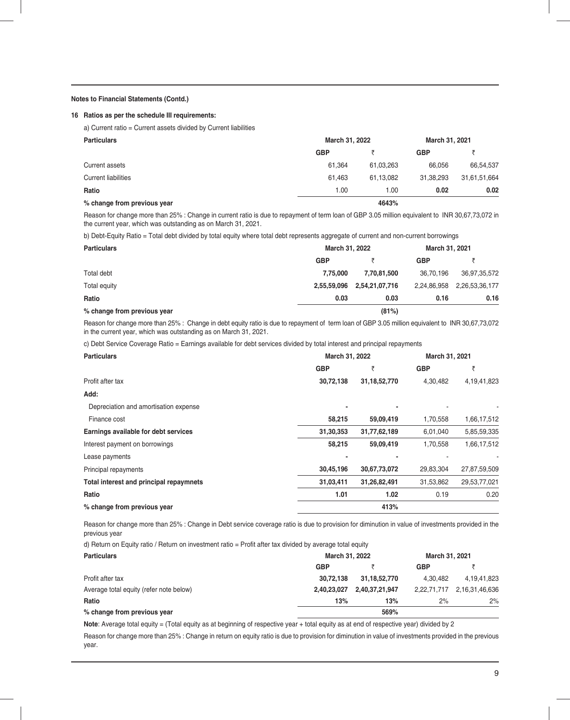#### **Notes to Financial Statements (Contd.)**

#### **16 Ratios as per the schedule III requirements:**

a) Current ratio = Current assets divided by Current liabilities

| <b>Particulars</b>          |            | March 31, 2022 |            |              |  |  |
|-----------------------------|------------|----------------|------------|--------------|--|--|
|                             | <b>GBP</b> |                | <b>GBP</b> |              |  |  |
| Current assets              | 61.364     | 61,03,263      | 66.056     | 66,54,537    |  |  |
| <b>Current liabilities</b>  | 61.463     | 61.13.082      | 31.38.293  | 31,61,51,664 |  |  |
| Ratio                       | 1.00       | 1.00           | 0.02       | 0.02         |  |  |
| % change from previous year |            | 4643%          |            |              |  |  |

Reason for change more than 25% : Change in current ratio is due to repayment of term loan of GBP 3.05 million equivalent to INR 30,67,73,072 in the current year, which was outstanding as on March 31, 2021.

b) Debt-Equity Ratio = Total debt divided by total equity where total debt represents aggregate of current and non-current borrowings

| <b>Particulars</b>          | March 31, 2022 |                | March 31, 2021 |                |
|-----------------------------|----------------|----------------|----------------|----------------|
|                             | <b>GBP</b>     |                | <b>GBP</b>     |                |
| Total debt                  | 7.75.000       | 7.70.81.500    | 36.70.196      | 36.97.35.572   |
| Total equity                | 2,55,59,096    | 2,54,21,07,716 | 2,24,86,958    | 2,26,53,36,177 |
| Ratio                       | 0.03           | 0.03           | 0.16           | 0.16           |
| % change from previous year |                | (81%)          |                |                |

Reason for change more than 25% : Change in debt equity ratio is due to repayment of term loan of GBP 3.05 million equivalent to INR 30,67,73,072 in the current year, which was outstanding as on March 31, 2021.

c) Debt Service Coverage Ratio = Earnings available for debt services divided by total interest and principal repayments

| <b>Particulars</b>                      | March 31, 2022 |                 | March 31, 2021 |              |
|-----------------------------------------|----------------|-----------------|----------------|--------------|
|                                         | <b>GBP</b>     | ₹               | <b>GBP</b>     | ₹            |
| Profit after tax                        | 30,72,138      | 31, 18, 52, 770 | 4,30,482       | 4,19,41,823  |
| Add:                                    |                |                 |                |              |
| Depreciation and amortisation expense   |                |                 |                |              |
| Finance cost                            | 58,215         | 59,09,419       | 1,70,558       | 1,66,17,512  |
| Earnings available for debt services    | 31,30,353      | 31,77,62,189    | 6,01,040       | 5,85,59,335  |
| Interest payment on borrowings          | 58,215         | 59,09,419       | 1,70,558       | 1,66,17,512  |
| Lease payments                          |                |                 |                |              |
| Principal repayments                    | 30,45,196      | 30,67,73,072    | 29,83,304      | 27,87,59,509 |
| Total interest and principal repaymnets | 31,03,411      | 31,26,82,491    | 31,53,862      | 29,53,77,021 |
| Ratio                                   | 1.01           | 1.02            | 0.19           | 0.20         |
| % change from previous year             |                | 413%            |                |              |

Reason for change more than 25% : Change in Debt service coverage ratio is due to provision for diminution in value of investments provided in the previous year

d) Return on Equity ratio / Return on investment ratio = Profit after tax divided by average total equity

| <b>Particulars</b>                      | March 31, 2022 |                 | March 31, 2021 |                            |
|-----------------------------------------|----------------|-----------------|----------------|----------------------------|
|                                         | <b>GBP</b>     |                 | <b>GBP</b>     |                            |
| Profit after tax                        | 30.72.138      | 31, 18, 52, 770 | 4.30.482       | 4,19,41,823                |
| Average total equity (refer note below) | 2,40,23,027    | 2,40,37,21,947  |                | 2,22,71,717 2,16,31,46,636 |
| Ratio                                   | 13%            | 13%             | 2%             | 2%                         |
| % change from previous year             |                | 569%            |                |                            |

**Note**: Average total equity = (Total equity as at beginning of respective year + total equity as at end of respective year) divided by 2

Reason for change more than 25% : Change in return on equity ratio is due to provision for diminution in value of investments provided in the previous year.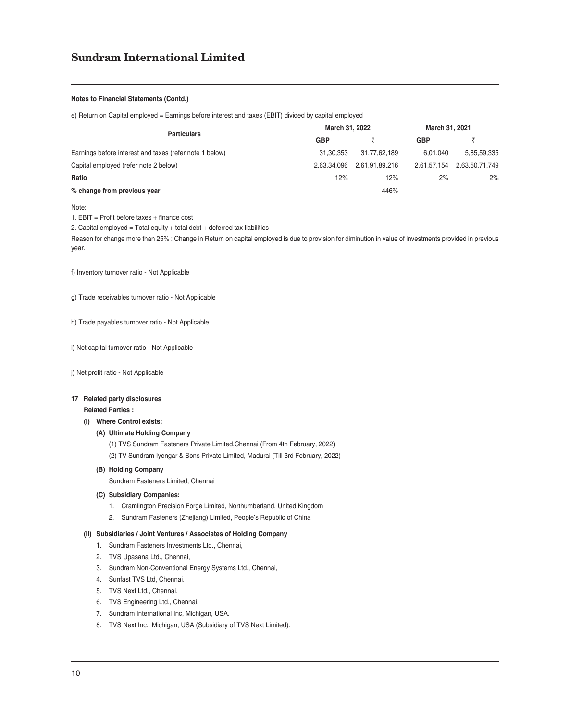#### **Notes to Financial Statements (Contd.)**

e) Return on Capital employed = Earnings before interest and taxes (EBIT) divided by capital employed

|                                                         | March 31, 2022 |                | March 31, 2021 |                |
|---------------------------------------------------------|----------------|----------------|----------------|----------------|
| <b>Particulars</b>                                      | <b>GBP</b>     |                | <b>GBP</b>     |                |
| Earnings before interest and taxes (refer note 1 below) | 31.30.353      | 31.77.62.189   | 6.01.040       | 5.85.59.335    |
| Capital employed (refer note 2 below)                   | 2.63.34.096    | 2,61,91,89,216 | 2,61,57,154    | 2,63,50,71,749 |
| Ratio                                                   | 12%            | 12%            | 2%             | 2%             |
| % change from previous year                             |                | 446%           |                |                |

Note:

1.  $EBIT = Profit before taxes + finance cost$ 

2. Capital employed = Total equity + total debt + deferred tax liabilities

Reason for change more than 25% : Change in Return on capital employed is due to provision for diminution in value of investments provided in previous year.

f) Inventory turnover ratio - Not Applicable

g) Trade receivables turnover ratio - Not Applicable

h) Trade payables turnover ratio - Not Applicable

i) Net capital turnover ratio - Not Applicable

j) Net profit ratio - Not Applicable

# **17 Related party disclosures**

# **Related Parties :**

#### **(I) Where Control exists:**

### **(A) Ultimate Holding Company**

(1) TVS Sundram Fasteners Private Limited,Chennai (From 4th February, 2022) (2) TV Sundram Iyengar & Sons Private Limited, Madurai (Till 3rd February, 2022)

#### **(B) Holding Company**

Sundram Fasteners Limited, Chennai

#### **(C) Subsidiary Companies:**

- 1. Cramlington Precision Forge Limited, Northumberland, United Kingdom
- 2. Sundram Fasteners (Zhejiang) Limited, People's Republic of China

#### **(II) Subsidiaries / Joint Ventures / Associates of Holding Company**

- 1. Sundram Fasteners Investments Ltd., Chennai,
- 2. TVS Upasana Ltd., Chennai,
- 3. Sundram Non-Conventional Energy Systems Ltd., Chennai,
- 4. Sunfast TVS Ltd, Chennai.
- 5. TVS Next Ltd., Chennai.
- 6. TVS Engineering Ltd., Chennai.
- 7. Sundram International Inc, Michigan, USA.
- 8. TVS Next Inc., Michigan, USA (Subsidiary of TVS Next Limited).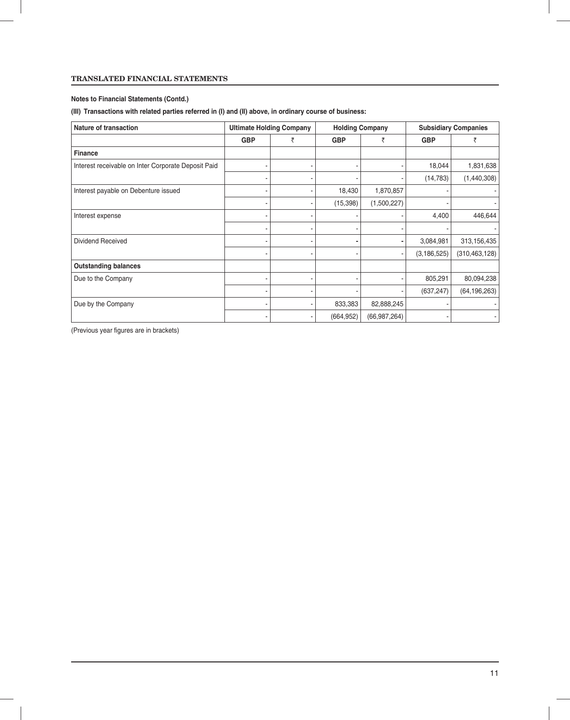# **TRANSLATED FINANCIAL STATEMENTS**

# **Notes to Financial Statements (Contd.)**

# **(III) Transactions with related parties referred in (I) and (II) above, in ordinary course of business:**

| Nature of transaction                               |            | <b>Ultimate Holding Company</b> |            | <b>Holding Company</b> |               | <b>Subsidiary Companies</b> |
|-----------------------------------------------------|------------|---------------------------------|------------|------------------------|---------------|-----------------------------|
|                                                     | <b>GBP</b> | ₹                               | <b>GBP</b> | ₹                      | <b>GBP</b>    | ₹                           |
| <b>Finance</b>                                      |            |                                 |            |                        |               |                             |
| Interest receivable on Inter Corporate Deposit Paid |            |                                 |            |                        | 18,044        | 1,831,638                   |
|                                                     | ٠          |                                 |            |                        | (14, 783)     | (1,440,308)                 |
| Interest payable on Debenture issued                |            |                                 | 18,430     | 1,870,857              |               |                             |
|                                                     |            |                                 | (15, 398)  | (1,500,227)            |               |                             |
| Interest expense                                    | ٠          |                                 |            |                        | 4,400         | 446,644                     |
|                                                     |            |                                 |            |                        |               |                             |
| Dividend Received                                   |            |                                 |            |                        | 3,084,981     | 313,156,435                 |
|                                                     |            |                                 |            |                        | (3, 186, 525) | (310,463,128)               |
| <b>Outstanding balances</b>                         |            |                                 |            |                        |               |                             |
| Due to the Company                                  |            |                                 |            |                        | 805,291       | 80,094,238                  |
|                                                     |            |                                 |            |                        | (637, 247)    | (64, 196, 263)              |
| Due by the Company                                  |            |                                 | 833,383    | 82,888,245             |               |                             |
|                                                     |            |                                 | (664, 952) | (66, 987, 264)         |               |                             |

(Previous year figures are in brackets)